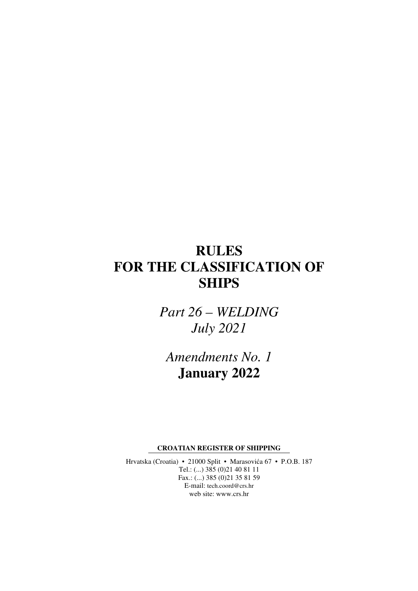# **RULES FOR THE CLASSIFICATION OF SHIPS**

*Part 26 – WELDING July 2021* 

*Amendments No. 1*  **January 2022** 

**CROATIAN REGISTER OF SHIPPING** 

Hrvatska (Croatia) • 21000 Split • Marasovića 67 • P.O.B. 187 Tel.: (...) 385 (0)21 40 81 11 Fax.: (...) 385 (0)21 35 81 59 E-mail: tech.coord@crs.hr web site: www.crs.hr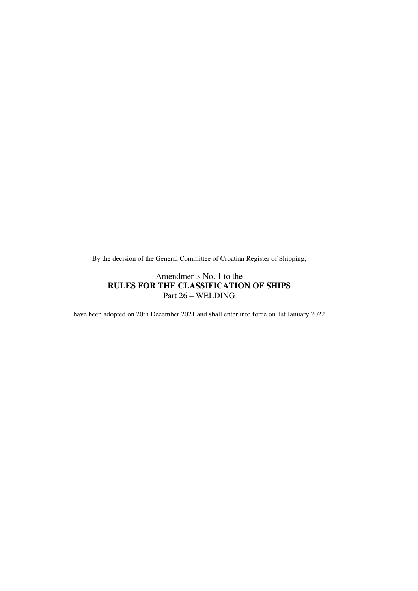By the decision of the General Committee of Croatian Register of Shipping,

### Amendments No. 1 to the **RULES FOR THE CLASSIFICATION OF SHIPS**  Part 26 – WELDING

have been adopted on 20th December 2021 and shall enter into force on 1st January 2022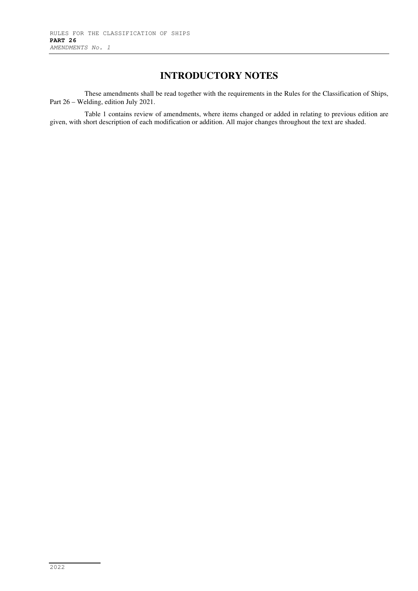# **INTRODUCTORY NOTES**

These amendments shall be read together with the requirements in the Rules for the Classification of Ships, Part 26 – Welding, edition July 2021.

Table 1 contains review of amendments, where items changed or added in relating to previous edition are given, with short description of each modification or addition. All major changes throughout the text are shaded.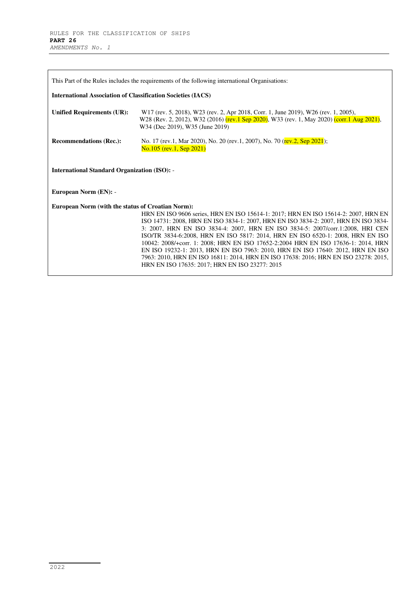| This Part of the Rules includes the requirements of the following international Organisations: |                                                                                                                                                                                                                                                                                                                                                                                                                                                                                                                                                                                                                                                                |  |
|------------------------------------------------------------------------------------------------|----------------------------------------------------------------------------------------------------------------------------------------------------------------------------------------------------------------------------------------------------------------------------------------------------------------------------------------------------------------------------------------------------------------------------------------------------------------------------------------------------------------------------------------------------------------------------------------------------------------------------------------------------------------|--|
| <b>International Association of Classification Societies (IACS)</b>                            |                                                                                                                                                                                                                                                                                                                                                                                                                                                                                                                                                                                                                                                                |  |
| <b>Unified Requirements (UR):</b>                                                              | W17 (rev. 5, 2018), W23 (rev. 2, Apr 2018, Corr. 1, June 2019), W26 (rev. 1, 2005),<br>W28 (Rev. 2, 2012), W32 (2016) (rev. 1 Sep 2020), W33 (rev. 1, May 2020) (corr. 1 Aug 2021),<br>W34 (Dec 2019), W35 (June 2019)                                                                                                                                                                                                                                                                                                                                                                                                                                         |  |
| <b>Recommendations (Rec.):</b>                                                                 | No. 17 (rev.1, Mar 2020), No. 20 (rev.1, 2007), No. 70 (rev.2, Sep 2021);<br>No.105 (rev.1, Sep 2021)                                                                                                                                                                                                                                                                                                                                                                                                                                                                                                                                                          |  |
| <b>International Standard Organization (ISO): -</b>                                            |                                                                                                                                                                                                                                                                                                                                                                                                                                                                                                                                                                                                                                                                |  |
| European Norm (EN): -                                                                          |                                                                                                                                                                                                                                                                                                                                                                                                                                                                                                                                                                                                                                                                |  |
| European Norm (with the status of Croatian Norm):                                              | HRN EN ISO 9606 series, HRN EN ISO 15614-1: 2017; HRN EN ISO 15614-2: 2007, HRN EN<br>ISO 14731: 2008, HRN EN ISO 3834-1: 2007, HRN EN ISO 3834-2: 2007, HRN EN ISO 3834-<br>3: 2007, HRN EN ISO 3834-4: 2007, HRN EN ISO 3834-5: 2007/corr.1:2008, HRI CEN<br>ISO/TR 3834-6:2008, HRN EN ISO 5817: 2014, HRN EN ISO 6520-1: 2008, HRN EN ISO<br>10042: 2008/+corr. 1: 2008; HRN EN ISO 17652-2:2004 HRN EN ISO 17636-1: 2014, HRN<br>EN ISO 19232-1: 2013, HRN EN ISO 7963: 2010, HRN EN ISO 17640: 2012, HRN EN ISO<br>7963: 2010, HRN EN ISO 16811: 2014, HRN EN ISO 17638: 2016; HRN EN ISO 23278: 2015,<br>HRN EN ISO 17635: 2017; HRN EN ISO 23277: 2015 |  |

٦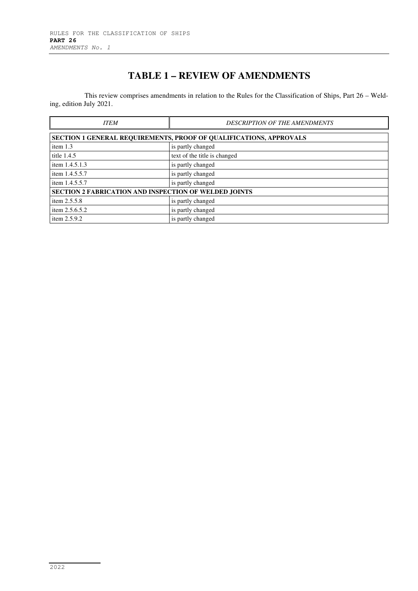# **TABLE 1 – REVIEW OF AMENDMENTS**

This review comprises amendments in relation to the Rules for the Classification of Ships, Part 26 – Welding, edition July 2021.

| <b>ITEM</b>                                                               | <b>DESCRIPTION OF THE AMENDMENTS</b> |  |
|---------------------------------------------------------------------------|--------------------------------------|--|
| <b>SECTION 1 GENERAL REQUIREMENTS, PROOF OF QUALIFICATIONS, APPROVALS</b> |                                      |  |
| item $1.3$                                                                | is partly changed                    |  |
| title 1.4.5                                                               | text of the title is changed         |  |
| item 1.4.5.1.3                                                            | is partly changed                    |  |
| item 1.4.5.5.7                                                            | is partly changed                    |  |
| item 1.4.5.5.7                                                            | is partly changed                    |  |
| <b>SECTION 2 FABRICATION AND INSPECTION OF WELDED JOINTS</b>              |                                      |  |
| item $2.5.5.8$                                                            | is partly changed                    |  |
| item 2.5.6.5.2                                                            | is partly changed                    |  |
| item 2.5.9.2                                                              | is partly changed                    |  |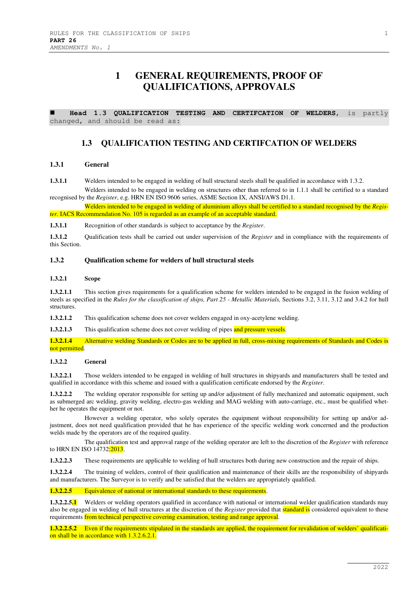## **1 GENERAL REQUIREMENTS, PROOF OF QUALIFICATIONS, APPROVALS**

 **Head 1.3 QUALIFICATION TESTING AND CERTIFCATION OF WELDERS,** is partly changed, and should be read as:

### **1.3 QUALIFICATION TESTING AND CERTIFCATION OF WELDERS**

#### **1.3.1 General**

**1.3.1.1** Welders intended to be engaged in welding of hull structural steels shall be qualified in accordance with 1.3.2.

Welders intended to be engaged in welding on structures other than referred to in 1.1.1 shall be certified to a standard recognised by the *Register*, e.g. HRN EN ISO 9606 series, ASME Section IX, ANSI/AWS D1.1.

Welders intended to be engaged in welding of aluminium alloys shall be certified to a standard recognised by the *Register.* IACS Recommendation No. 105 is regarded as an example of an acceptable standard.

**1.3.1.1** Recognition of other standards is subject to acceptance by the *Register*.

**1.3.1.2** Qualification tests shall be carried out under supervision of the *Register* and in compliance with the requirements of this Section.

#### **1.3.2 Qualification scheme for welders of hull structural steels**

#### **1.3.2.1 Scope**

**1.3.2.1.1** This section gives requirements for a qualification scheme for welders intended to be engaged in the fusion welding of steels as specified in the *Rules for the classification of ships, Part 25 - Metallic Materials,* Sections 3.2, 3.11, 3.12 and 3.4.2 for hull structures.

**1.3.2.1.2** This qualification scheme does not cover welders engaged in oxy-acetylene welding.

**1.3.2.1.3** This qualification scheme does not cover welding of pipes and pressure vessels.

**1.3.2.1.4** Alternative welding Standards or Codes are to be applied in full, cross-mixing requirements of Standards and Codes is not permitted.

#### **1.3.2.2 General**

**1.3.2.2.1** Those welders intended to be engaged in welding of hull structures in shipyards and manufacturers shall be tested and qualified in accordance with this scheme and issued with a qualification certificate endorsed by the *Register*.

**1.3.2.2.2** The welding operator responsible for setting up and/or adjustment of fully mechanized and automatic equipment, such as submerged arc welding, gravity welding, electro-gas welding and MAG welding with auto-carriage, etc., must be qualified whether he operates the equipment or not.

However a welding operator, who solely operates the equipment without responsibility for setting up and/or adjustment, does not need qualification provided that he has experience of the specific welding work concerned and the production welds made by the operators are of the required quality.

The qualification test and approval range of the welding operator are left to the discretion of the *Register* with reference to HRN EN ISO 14732:2013.

**1.3.2.2.3** These requirements are applicable to welding of hull structures both during new construction and the repair of ships.

**1.3.2.2.4** The training of welders, control of their qualification and maintenance of their skills are the responsibility of shipyards and manufacturers. The Surveyor is to verify and be satisfied that the welders are appropriately qualified.

#### **1.3.2.2.5** Equivalence of national or international standards to these requirements.

**1.3.2.2.5.1** Welders or welding operators qualified in accordance with national or international welder qualification standards may also be engaged in welding of hull structures at the discretion of the *Register* provided that standard is considered equivalent to these requirements from technical perspective covering examination, testing and range approval.

**1.3.2.2.5.2** Even if the requirements stipulated in the standards are applied, the requirement for revalidation of welders' qualification shall be in accordance with 1.3.2.6.2.1.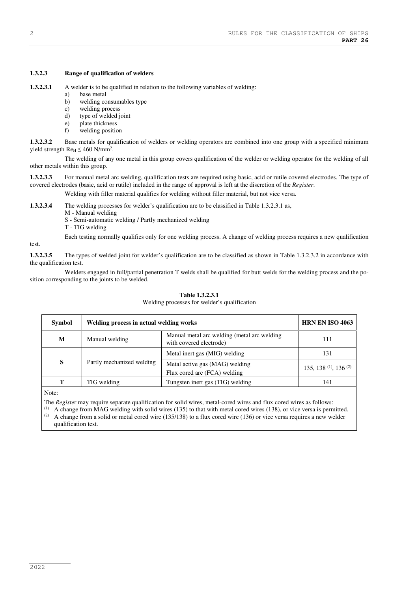#### **1.3.2.3 Range of qualification of welders**

**1.3.2.3.1** A welder is to be qualified in relation to the following variables of welding:

- a) base metal
- b) welding consumables type
- c) welding process
- d) type of welded joint
- e) plate thickness<br>f) welding positic welding position

**1.3.2.3.2** Base metals for qualification of welders or welding operators are combined into one group with a specified minimum yield strength  $\text{Re}_{\text{H}} \leq 460 \text{ N/mm}^2$ .

The welding of any one metal in this group covers qualification of the welder or welding operator for the welding of all other metals within this group.

**1.3.2.3.3** For manual metal arc welding, qualification tests are required using basic, acid or rutile covered electrodes. The type of covered electrodes (basic, acid or rutile) included in the range of approval is left at the discretion of the *Register*.

Welding with filler material qualifies for welding without filler material, but not vice versa.

**1.3.2.3.4** The welding processes for welder's qualification are to be classified in Table 1.3.2.3.1 as,

- M Manual welding
- S Semi-automatic welding / Partly mechanized welding
- T TIG welding

Each testing normally qualifies only for one welding process. A change of welding process requires a new qualification

**1.3.2.3.5** The types of welded joint for welder's qualification are to be classified as shown in Table 1.3.2.3.2 in accordance with the qualification test.

Welders engaged in full/partial penetration T welds shall be qualified for butt welds for the welding process and the position corresponding to the joints to be welded.

| Symbol | Welding process in actual welding works |                                                                        | <b>HRN EN ISO 4063</b>                       |
|--------|-----------------------------------------|------------------------------------------------------------------------|----------------------------------------------|
| M      | Manual welding                          | Manual metal arc welding (metal arc welding<br>with covered electrode) | 111                                          |
|        |                                         | Metal inert gas (MIG) welding                                          | 131                                          |
| S      | Partly mechanized welding               | Metal active gas (MAG) welding<br>Flux cored arc (FCA) welding         | 135, 138 <sup>(1)</sup> , 136 <sup>(2)</sup> |
| т      | TIG welding                             | Tungsten inert gas (TIG) welding                                       | 141                                          |

## **Table 1.3.2.3.1**

#### Welding processes for welder's qualification

Note:

The *Registe*r may require separate qualification for solid wires, metal-cored wires and flux cored wires as follows:

 $<sup>(1)</sup>$  A change from MAG welding with solid wires (135) to that with metal cored wires (138), or vice versa is permitted.</sup> (2) A change from a solid or metal cored wire  $(135/138)$  to a flux cored wire  $(136)$  or vice versa requires a new welder qualification test.

test.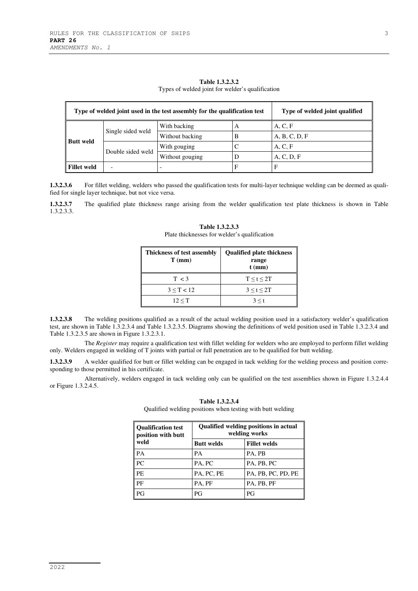| Type of welded joint used in the test assembly for the qualification test |              |                 | Type of welded joint qualified |               |
|---------------------------------------------------------------------------|--------------|-----------------|--------------------------------|---------------|
| Single sided weld<br><b>Butt weld</b><br>Double sided weld                | With backing | А               | A, C, F                        |               |
|                                                                           |              | Without backing | В                              | A, B, C, D, F |
|                                                                           |              | With gouging    |                                | A, C, F       |
|                                                                           |              | Without gouging |                                | A, C, D, F    |
| <b>Fillet weld</b>                                                        |              |                 | F                              | F             |

**Table 1.3.2.3.2**  Types of welded joint for welder's qualification

**1.3.2.3.6** For fillet welding, welders who passed the qualification tests for multi-layer technique welding can be deemed as qualified for single layer technique, but not vice versa.

**1.3.2.3.7** The qualified plate thickness range arising from the welder qualification test plate thickness is shown in Table 1.3.2.3.3.

| <b>Thickness of test assembly</b><br>$T$ (mm) | <b>Qualified plate thickness</b><br>range<br>$t$ (mm) |
|-----------------------------------------------|-------------------------------------------------------|
| T < 3                                         | $T \leq t \leq 2T$                                    |
| $3 \le T < 12$                                | 3 < t < 2T                                            |
| 12 < T                                        | $3 \leq t$                                            |

**Table 1.3.2.3.3**  Plate thicknesses for welder's qualification

**1.3.2.3.8** The welding positions qualified as a result of the actual welding position used in a satisfactory welder's qualification test, are shown in Table 1.3.2.3.4 and Table 1.3.2.3.5. Diagrams showing the definitions of weld position used in Table 1.3.2.3.4 and Table 1.3.2.3.5 are shown in Figure 1.3.2.3.1.

The *Register* may require a qualification test with fillet welding for welders who are employed to perform fillet welding only. Welders engaged in welding of T joints with partial or full penetration are to be qualified for butt welding.

**1.3.2.3.9** A welder qualified for butt or fillet welding can be engaged in tack welding for the welding process and position corresponding to those permitted in his certificate.

Alternatively, welders engaged in tack welding only can be qualified on the test assemblies shown in Figure 1.3.2.4.4 or Figure 1.3.2.4.5.

| <b>Oualification test</b><br>position with butt | <b>Qualified welding positions in actual</b><br>welding works |                     |  |
|-------------------------------------------------|---------------------------------------------------------------|---------------------|--|
| weld                                            | <b>Butt welds</b>                                             | <b>Fillet welds</b> |  |
| PА                                              | PА                                                            | PA, PB              |  |
| PC                                              | PA, PC                                                        | PA, PB, PC          |  |
| PE.                                             | PA, PC, PE                                                    | PA, PB, PC, PD, PE  |  |
| PF                                              | PA, PF                                                        | PA, PB, PF          |  |
| РG                                              | PG                                                            | РG                  |  |

**Table 1.3.2.3.4** 

Qualified welding positions when testing with butt welding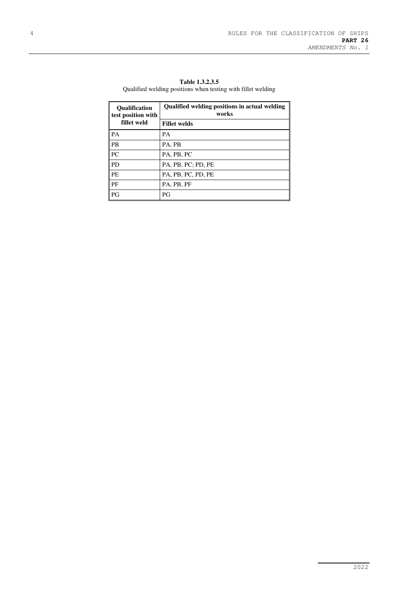| <b>Oualification</b><br>test position with<br>fillet weld | Qualified welding positions in actual welding<br>works |
|-----------------------------------------------------------|--------------------------------------------------------|
|                                                           | <b>Fillet welds</b>                                    |
| <b>PA</b>                                                 | PА                                                     |
| l PB                                                      | PA, PB                                                 |
| PC                                                        | PA, PB, PC                                             |
| <b>PD</b>                                                 | PA, PB, PC; PD, PE                                     |
| <b>PE</b>                                                 | PA, PB, PC, PD, PE                                     |
| l PF                                                      | PA, PB, PF                                             |
| PG                                                        | РG                                                     |

**Table 1.3.2.3.5**  Qualified welding positions when testing with fillet welding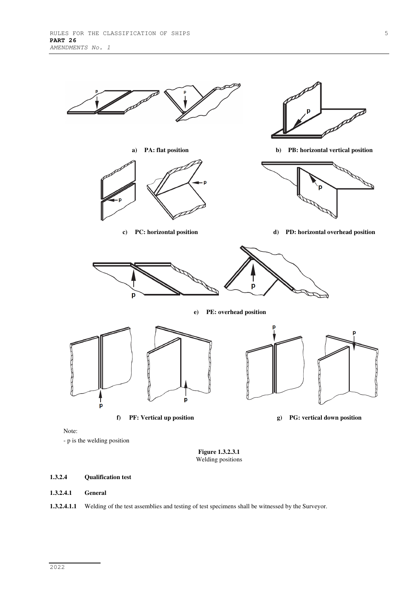

- p is the welding position

**Figure 1.3.2.3.1**  Welding positions

#### **1.3.2.4 Qualification test**

#### **1.3.2.4.1 General**

**1.3.2.4.1.1** Welding of the test assemblies and testing of test specimens shall be witnessed by the Surveyor.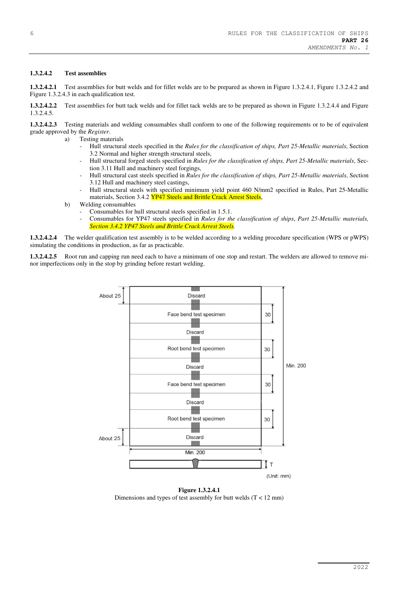#### **1.3.2.4.2 Test assemblies**

**1.3.2.4.2.1** Test assemblies for butt welds and for fillet welds are to be prepared as shown in Figure 1.3.2.4.1, Figure 1.3.2.4.2 and Figure 1.3.2.4.3 in each qualification test.

**1.3.2.4.2.2** Test assemblies for butt tack welds and for fillet tack welds are to be prepared as shown in Figure 1.3.2.4.4 and Figure 1.3.2.4.5.

**1.3.2.4.2.3** Testing materials and welding consumables shall conform to one of the following requirements or to be of equivalent grade approved by the *Register*.

- a) Testing materials
	- Hull structural steels specified in the *Rules for the classification of ships, Part 25-Metallic materials*, Section 3.2 Normal and higher strength structural steels,
	- Hull structural forged steels specified in *Rules for the classification of ships, Part 25-Metallic materials*, Section 3.11 Hull and machinery steel forgings,
	- Hull structural cast steels specified in *Rules for the classification of ships, Part 25-Metallic materials*, Section 3.12 Hull and machinery steel castings,
	- Hull structural steels with specified minimum yield point 460 N/mm2 specified in Rules, Part 25-Metallic materials, Section 3.4.2 YP47 Steels and Brittle Crack Arrest Steels,
- b) Welding consumables
	- Consumables for hull structural steels specified in 1.5.1.
	- Consumables for YP47 steels specified in *Rules for the classification of ships*, *Part 25-Metallic materials, Section 3.4.2 YP47 Steels and Brittle Crack Arrest Steels.*

**1.3.2.4.2.4** The welder qualification test assembly is to be welded according to a welding procedure specification (WPS or pWPS) simulating the conditions in production, as far as practicable.

**1.3.2.4.2.5** Root run and capping run need each to have a minimum of one stop and restart. The welders are allowed to remove minor imperfections only in the stop by grinding before restart welding.



**Figure 1.3.2.4.1**  Dimensions and types of test assembly for butt welds (T < 12 mm)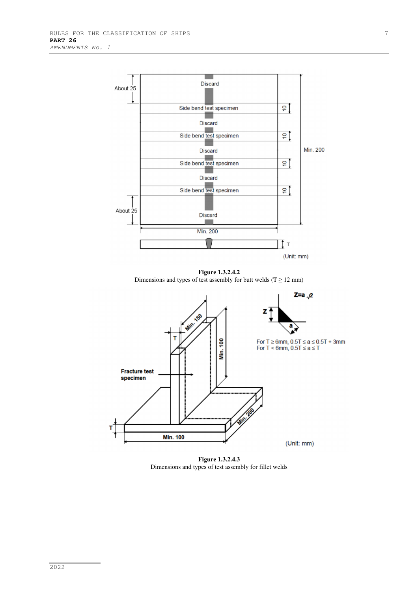

**Figure 1.3.2.4.2**  Dimensions and types of test assembly for butt welds ( $T \ge 12$  mm)



**Figure 1.3.2.4.3**  Dimensions and types of test assembly for fillet welds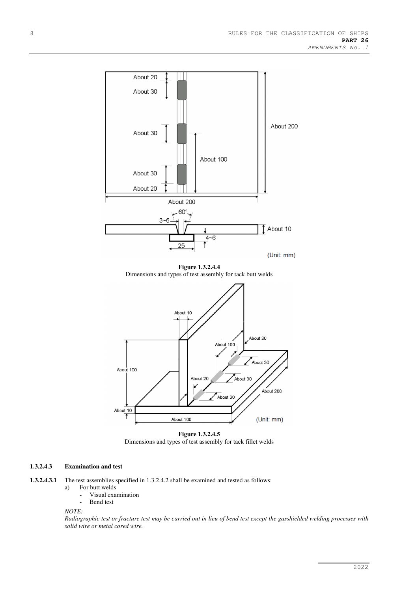

Dimensions and types of test assembly for tack fillet welds

#### **1.3.2.4.3 Examination and test**

**1.3.2.4.3.1** The test assemblies specified in 1.3.2.4.2 shall be examined and tested as follows:

- a) For butt welds
	- Visual examination Bend test

*NOTE:* 

*Radiographic test or fracture test may be carried out in lieu of bend test except the gasshielded welding processes with solid wire or metal cored wire.*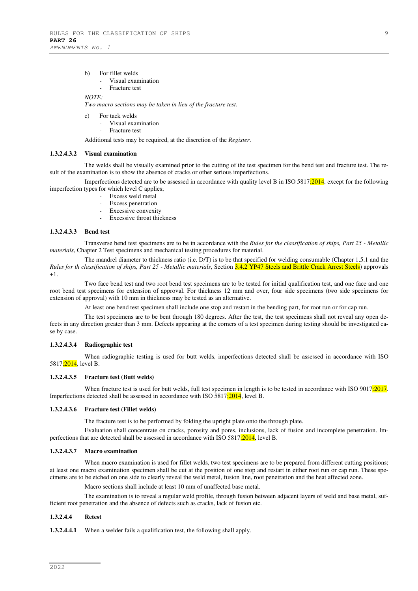- b) For fillet welds
	- Visual examination
	- Fracture test

#### *NOTE:*

*Two macro sections may be taken in lieu of the fracture test.* 

- c) For tack welds
	- Visual examination
	- Fracture test

Additional tests may be required, at the discretion of the *Register*.

#### **1.3.2.4.3.2 Visual examination**

The welds shall be visually examined prior to the cutting of the test specimen for the bend test and fracture test. The result of the examination is to show the absence of cracks or other serious imperfections.

Imperfections detected are to be assessed in accordance with quality level B in ISO 5817:2014, except for the following imperfection types for which level C applies;

- Excess weld metal
- Excess penetration
- Excessive convexity
- Excessive throat thickness

#### **1.3.2.4.3.3 Bend test**

Transverse bend test specimens are to be in accordance with the *Rules for the classification of ships, Part 25 - Metallic materials*, Chapter 2 Test specimens and mechanical testing procedures for material.

The mandrel diameter to thickness ratio (i.e. D/T) is to be that specified for welding consumable (Chapter 1.5.1 and the *Rules for th classification of ships, Part 25 - Metallic materials*, Section 3.4.2 YP47 Steels and Brittle Crack Arrest Steels) approvals  $+1.$ 

Two face bend test and two root bend test specimens are to be tested for initial qualification test, and one face and one root bend test specimens for extension of approval. For thickness 12 mm and over, four side specimens (two side specimens for extension of approval) with 10 mm in thickness may be tested as an alternative.

At least one bend test specimen shall include one stop and restart in the bending part, for root run or for cap run.

The test specimens are to be bent through 180 degrees. After the test, the test specimens shall not reveal any open defects in any direction greater than 3 mm. Defects appearing at the corners of a test specimen during testing should be investigated case by case.

#### **1.3.2.4.3.4 Radiographic test**

When radiographic testing is used for butt welds, imperfections detected shall be assessed in accordance with ISO 5817:2014, level B.

#### **1.3.2.4.3.5 Fracture test (Butt welds)**

When fracture test is used for butt welds, full test specimen in length is to be tested in accordance with ISO 9017:2017. Imperfections detected shall be assessed in accordance with ISO 5817:2014, level B.

#### **1.3.2.4.3.6 Fracture test (Fillet welds)**

The fracture test is to be performed by folding the upright plate onto the through plate.

Evaluation shall concentrate on cracks, porosity and pores, inclusions, lack of fusion and incomplete penetration. Imperfections that are detected shall be assessed in accordance with ISO 5817:2014, level B.

#### **1.3.2.4.3.7 Macro examination**

When macro examination is used for fillet welds, two test specimens are to be prepared from different cutting positions; at least one macro examination specimen shall be cut at the position of one stop and restart in either root run or cap run. These specimens are to be etched on one side to clearly reveal the weld metal, fusion line, root penetration and the heat affected zone.

Macro sections shall include at least 10 mm of unaffected base metal.

The examination is to reveal a regular weld profile, through fusion between adjacent layers of weld and base metal, sufficient root penetration and the absence of defects such as cracks, lack of fusion etc.

#### **1.3.2.4.4 Retest**

**1.3.2.4.4.1** When a welder fails a qualification test, the following shall apply.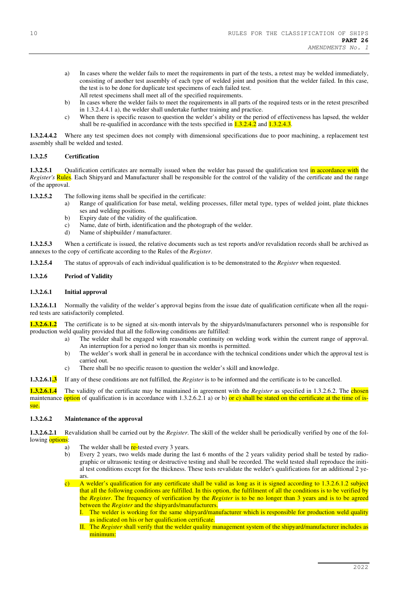- a) In cases where the welder fails to meet the requirements in part of the tests, a retest may be welded immediately, consisting of another test assembly of each type of welded joint and position that the welder failed. In this case, the test is to be done for duplicate test specimens of each failed test. All retest specimens shall meet all of the specified requirements.
- b) In cases where the welder fails to meet the requirements in all parts of the required tests or in the retest prescribed in 1.3.2.4.4.1 a), the welder shall undertake further training and practice.
- c) When there is specific reason to question the welder's ability or the period of effectiveness has lapsed, the welder shall be re-qualified in accordance with the tests specified in  $1.3.2.4.2$  and  $1.3.2.4.3$ .

**1.3.2.4.4.2** Where any test specimen does not comply with dimensional specifications due to poor machining, a replacement test assembly shall be welded and tested.

#### **1.3.2.5 Certification**

**1.3.2.5.1** Qualification certificates are normally issued when the welder has passed the qualification test in accordance with the *Register's* **Rules**. Each Shipyard and Manufacturer shall be responsible for the control of the validity of the certificate and the range of the approval.

**1.3.2.5.2** The following items shall be specified in the certificate:

- a) Range of qualification for base metal, welding processes, filler metal type, types of welded joint, plate thicknes ses and welding positions.
- b) Expiry date of the validity of the qualification.
- c) Name, date of birth, identification and the photograph of the welder.
- d) Name of shipbuilder / manufacturer.

**1.3.2.5.3** When a certificate is issued, the relative documents such as test reports and/or revalidation records shall be archived as annexes to the copy of certificate according to the Rules of the *Register*.

**1.3.2.5.4** The status of approvals of each individual qualification is to be demonstrated to the *Register* when requested.

#### **1.3.2.6 Period of Validity**

#### **1.3.2.6.1 Initial approval**

**1.3.2.6.1.1** Normally the validity of the welder's approval begins from the issue date of qualification certificate when all the required tests are satisfactorily completed.

**1.3.2.6.1.2** The certificate is to be signed at six-month intervals by the shipyards/manufacturers personnel who is responsible for production weld quality provided that all the following conditions are fulfilled:

- a) The welder shall be engaged with reasonable continuity on welding work within the current range of approval. An interruption for a period no longer than six months is permitted.
- b) The welder's work shall in general be in accordance with the technical conditions under which the approval test is carried out.
- c) There shall be no specific reason to question the welder's skill and knowledge.

**1.3.2.6.1.3** If any of these conditions are not fulfilled, the *Register* is to be informed and the certificate is to be cancelled.

**1.3.2.6.1.4** The validity of the certificate may be maintained in agreement with the *Register* as specified in 1.3.2.6.2. The chosen maintenance option of qualification is in accordance with 1.3.2.6.2.1 a) or b) or c) shall be stated on the certificate at the time of issue.

#### **1.3.2.6.2 Maintenance of the approval**

**1.3.2.6.2.1** Revalidation shall be carried out by the *Register*. The skill of the welder shall be periodically verified by one of the following **options**:

- a) The welder shall be  $re$ -tested every 3 years.
- b) Every 2 years, two welds made during the last 6 months of the 2 years validity period shall be tested by radiographic or ultrasonic testing or destructive testing and shall be recorded. The weld tested shall reproduce the initial test conditions except for the thickness. These tests revalidate the welder's qualifications for an additional 2 years.

c) A welder's qualification for any certificate shall be valid as long as it is signed according to 1.3.2.6.1.2 subject that all the following conditions are fulfilled. In this option, the fulfilment of all the conditions is to be verified by the *Register*. The frequency of verification by the *Register* is to be no longer than 3 years and is to be agreed between the *Register* and the shipyards/manufacturers.

I. The welder is working for the same shipyard/manufacturer which is responsible for production weld quality as indicated on his or her qualification certificate.

II. The *Register* shall verify that the welder quality management system of the shipyard/manufacturer includes as minimum: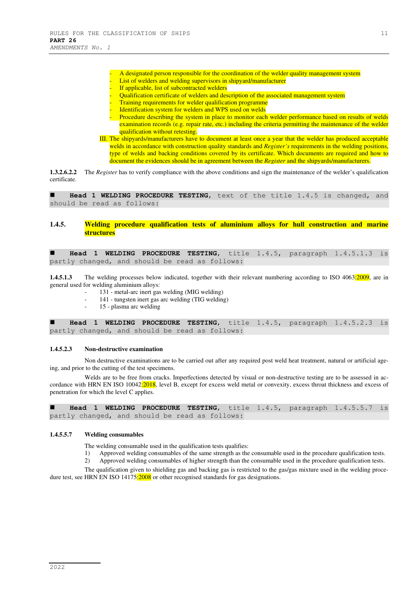- A designated person responsible for the coordination of the welder quality management system List of welders and welding supervisors in shipyard/manufacturer
- If applicable, list of subcontracted welders
	- Qualification certificate of welders and description of the associated management system
	- Training requirements for welder qualification programme
- Identification system for welders and WPS used on welds
- Procedure describing the system in place to monitor each welder performance based on results of welds examination records (e.g. repair rate, etc.) including the criteria permitting the maintenance of the welder qualification without retesting.
- III. The shipyards/manufacturers have to document at least once a year that the welder has produced acceptable welds in accordance with construction quality standards and *Register's* requirements in the welding positions, type of welds and backing conditions covered by its certificate. Which documents are required and how to document the evidences should be in agreement between the *Register* and the shipyards/manufacturers.

**1.3.2.6.2.2** The *Register* has to verify compliance with the above conditions and sign the maintenance of the welder's qualification certificate.

 **Head 1 WELDING PROCEDURE TESTING**, text of the title 1.4.5 is changed, and should be read as follows:

#### **1.4.5. Welding procedure qualification tests of aluminium alloys for hull construction and marine structures**

 **Head 1 WELDING PROCEDURE TESTING**, title 1.4.5, paragraph 1.4.5.1.3 is partly changed, and should be read as follows:

**1.4.5.1.3** The welding processes below indicated, together with their relevant numbering according to ISO 4063:2009, are in general used for welding aluminium alloys:

- 131 metal-arc inert gas welding (MIG welding)
- 141 tungsten inert gas arc welding (TIG welding)
- 15 plasma arc welding

 **Head 1 WELDING PROCEDURE TESTING**, title 1.4.5, paragraph 1.4.5.2.3 is partly changed, and should be read as follows:

#### **1.4.5.2.3 Non-destructive examination**

Non destructive examinations are to be carried out after any required post weld heat treatment, natural or artificial ageing, and prior to the cutting of the test specimens.

Welds are to be free from cracks. Imperfections detected by visual or non-destructive testing are to be assessed in accordance with HRN EN ISO  $10042:2018$ , level B, except for excess weld metal or convexity, excess throat thickness and excess of penetration for which the level C applies.

 **Head 1 WELDING PROCEDURE TESTING**, title 1.4.5, paragraph 1.4.5.5.7 is partly changed, and should be read as follows:

#### **1.4.5.5.7 Welding consumables**

The welding consumable used in the qualification tests qualifies:

- 1) Approved welding consumables of the same strength as the consumable used in the procedure qualification tests.
- 2) Approved welding consumables of higher strength than the consumable used in the procedure qualification tests.

The qualification given to shielding gas and backing gas is restricted to the gas/gas mixture used in the welding procedure test, see HRN EN ISO 14175:2008 or other recognised standards for gas designations.